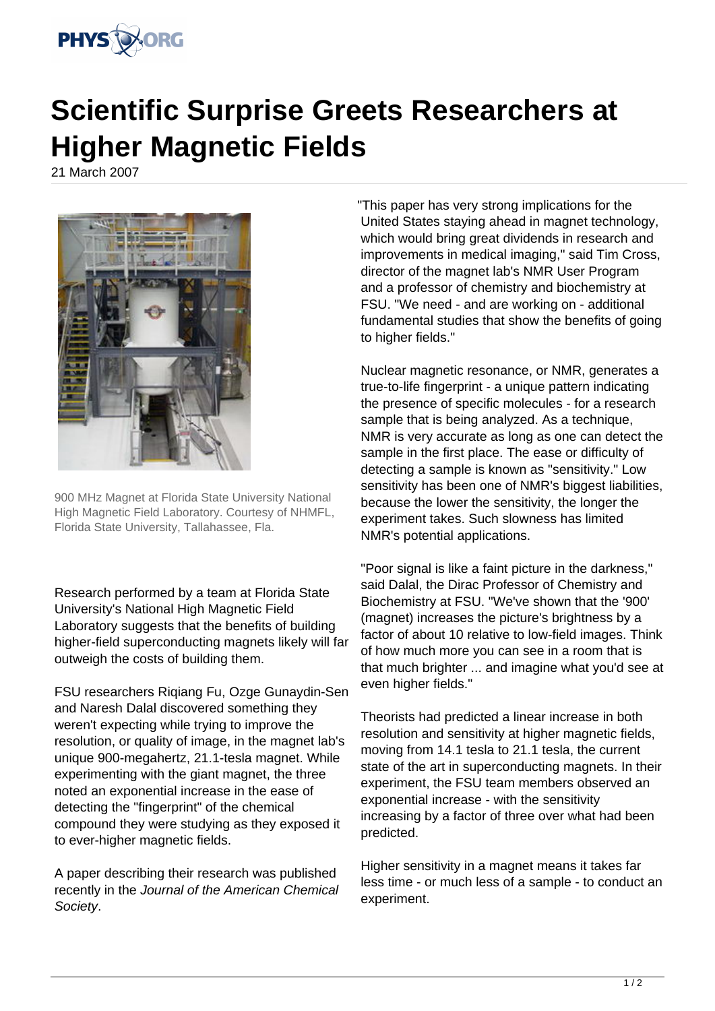

## **Scientific Surprise Greets Researchers at Higher Magnetic Fields**

21 March 2007



900 MHz Magnet at Florida State University National High Magnetic Field Laboratory. Courtesy of NHMFL, Florida State University, Tallahassee, Fla.

Research performed by a team at Florida State University's National High Magnetic Field Laboratory suggests that the benefits of building higher-field superconducting magnets likely will far outweigh the costs of building them.

FSU researchers Riqiang Fu, Ozge Gunaydin-Sen and Naresh Dalal discovered something they weren't expecting while trying to improve the resolution, or quality of image, in the magnet lab's unique 900-megahertz, 21.1-tesla magnet. While experimenting with the giant magnet, the three noted an exponential increase in the ease of detecting the "fingerprint" of the chemical compound they were studying as they exposed it to ever-higher magnetic fields.

A paper describing their research was published recently in the Journal of the American Chemical Society.

"This paper has very strong implications for the United States staying ahead in magnet technology, which would bring great dividends in research and improvements in medical imaging," said Tim Cross, director of the magnet lab's NMR User Program and a professor of chemistry and biochemistry at FSU. "We need - and are working on - additional fundamental studies that show the benefits of going to higher fields."

Nuclear magnetic resonance, or NMR, generates a true-to-life fingerprint - a unique pattern indicating the presence of specific molecules - for a research sample that is being analyzed. As a technique, NMR is very accurate as long as one can detect the sample in the first place. The ease or difficulty of detecting a sample is known as "sensitivity." Low sensitivity has been one of NMR's biggest liabilities, because the lower the sensitivity, the longer the experiment takes. Such slowness has limited NMR's potential applications.

"Poor signal is like a faint picture in the darkness," said Dalal, the Dirac Professor of Chemistry and Biochemistry at FSU. "We've shown that the '900' (magnet) increases the picture's brightness by a factor of about 10 relative to low-field images. Think of how much more you can see in a room that is that much brighter ... and imagine what you'd see at even higher fields."

Theorists had predicted a linear increase in both resolution and sensitivity at higher magnetic fields, moving from 14.1 tesla to 21.1 tesla, the current state of the art in superconducting magnets. In their experiment, the FSU team members observed an exponential increase - with the sensitivity increasing by a factor of three over what had been predicted.

Higher sensitivity in a magnet means it takes far less time - or much less of a sample - to conduct an experiment.